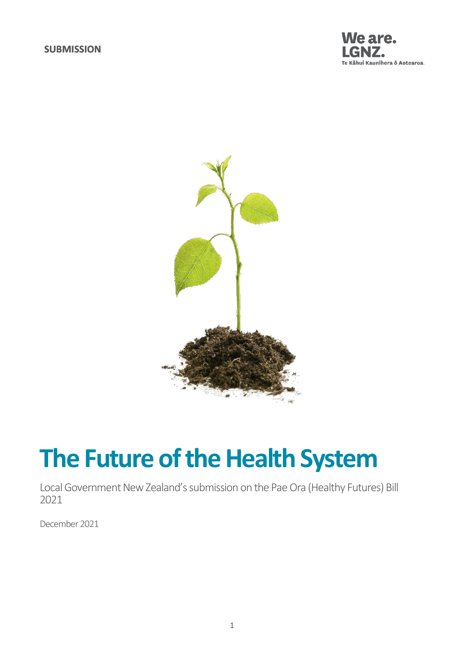



# **The Future of the Health System**

Local Government New Zealand's submission on the Pae Ora (Healthy Futures) Bill 2021

December 2021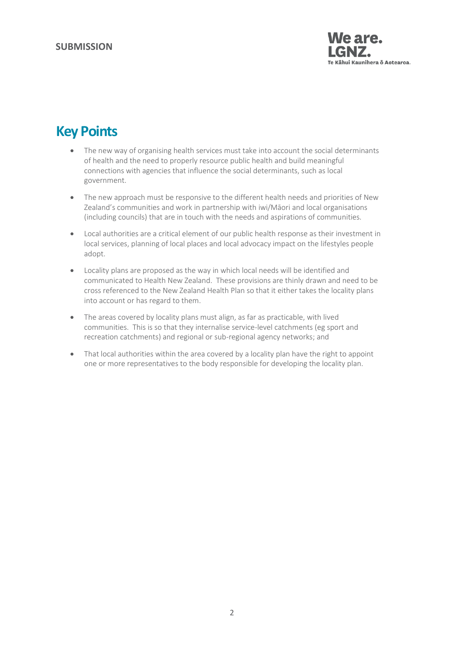

# **Key Points**

- The new way of organising health services must take into account the social determinants of health and the need to properly resource public health and build meaningful connections with agencies that influence the social determinants, such as local government.
- The new approach must be responsive to the different health needs and priorities of New Zealand's communities and work in partnership with iwi/Māori and local organisations (including councils) that are in touch with the needs and aspirations of communities.
- Local authorities are a critical element of our public health response as their investment in local services, planning of local places and local advocacy impact on the lifestyles people adopt.
- Locality plans are proposed as the way in which local needs will be identified and communicated to Health New Zealand. These provisions are thinly drawn and need to be cross referenced to the New Zealand Health Plan so that it either takes the locality plans into account or has regard to them.
- The areas covered by locality plans must align, as far as practicable, with lived communities. This is so that they internalise service-level catchments (eg sport and recreation catchments) and regional or sub-regional agency networks; and
- That local authorities within the area covered by a locality plan have the right to appoint one or more representatives to the body responsible for developing the locality plan.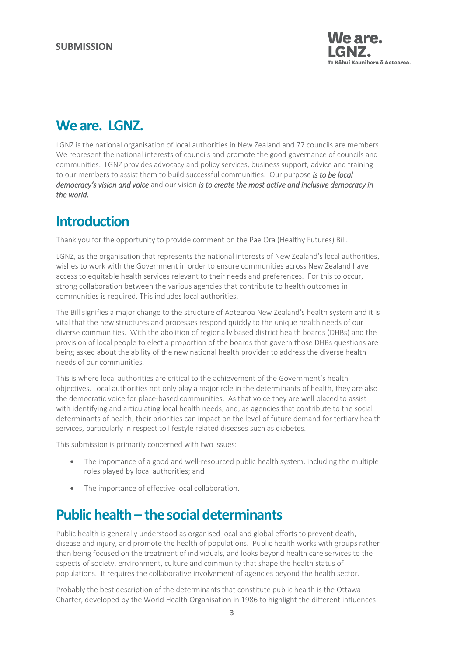

# **We are. LGNZ.**

LGNZ is the national organisation of local authorities in New Zealand and 77 councils are members. We represent the national interests of councils and promote the good governance of councils and communities. LGNZ provides advocacy and policy services, business support, advice and training to our members to assist them to build successful communities. Our purpose *is to be local democracy's vision and voice* and our vision *is to create the most active and inclusive democracy in the world.*

# **Introduction**

Thank you for the opportunity to provide comment on the Pae Ora (Healthy Futures) Bill.

LGNZ, as the organisation that represents the national interests of New Zealand's local authorities, wishes to work with the Government in order to ensure communities across New Zealand have access to equitable health services relevant to their needs and preferences. For this to occur, strong collaboration between the various agencies that contribute to health outcomes in communities is required. This includes local authorities.

The Bill signifies a major change to the structure of Aotearoa New Zealand's health system and it is vital that the new structures and processes respond quickly to the unique health needs of our diverse communities. With the abolition of regionally based district health boards (DHBs) and the provision of local people to elect a proportion of the boards that govern those DHBs questions are being asked about the ability of the new national health provider to address the diverse health needs of our communities.

This is where local authorities are critical to the achievement of the Government's health objectives. Local authorities not only play a major role in the determinants of health, they are also the democratic voice for place-based communities. As that voice they are well placed to assist with identifying and articulating local health needs, and, as agencies that contribute to the social determinants of health, their priorities can impact on the level of future demand for tertiary health services, particularly in respect to lifestyle related diseases such as diabetes.

This submission is primarily concerned with two issues:

- The importance of a good and well-resourced public health system, including the multiple roles played by local authorities; and
- The importance of effective local collaboration.

# **Public health – the social determinants**

Public health is generally understood as organised local and global efforts to prevent death, disease and injury, and promote the health of populations. Public health works with groups rather than being focused on the treatment of individuals, and looks beyond health care services to the aspects of society, environment, culture and community that shape the health status of populations. It requires the collaborative involvement of agencies beyond the health sector.

Probably the best description of the determinants that constitute public health is the Ottawa Charter, developed by the World Health Organisation in 1986 to highlight the different influences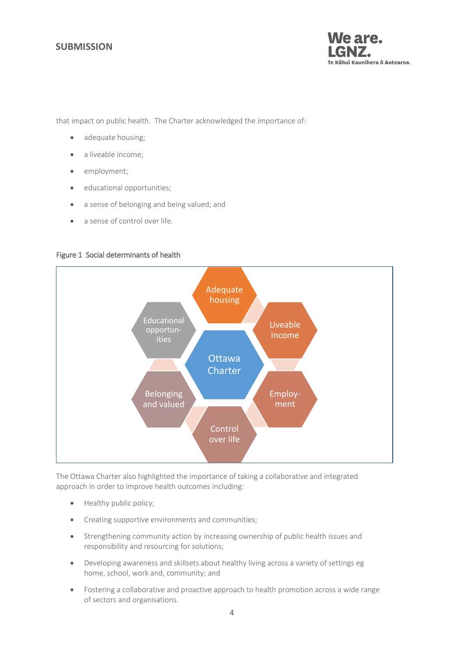### **SUBMISSION**



that impact on public health. The Charter acknowledged the importance of:

- adequate housing;
- a liveable income;
- employment:
- educational opportunities;
- a sense of belonging and being valued; and
- a sense of control over life.

#### Figure 1 Social determinants of health



The Ottawa Charter also highlighted the importance of taking a collaborative and integrated approach in order to improve health outcomes including:

- Healthy public policy;
- Creating supportive environments and communities;
- Strengthening community action by increasing ownership of public health issues and responsibility and resourcing for solutions;
- Developing awareness and skillsets about healthy living across a variety of settings eg home, school, work and, community; and
- Fostering a collaborative and proactive approach to health promotion across a wide range of sectors and organisations.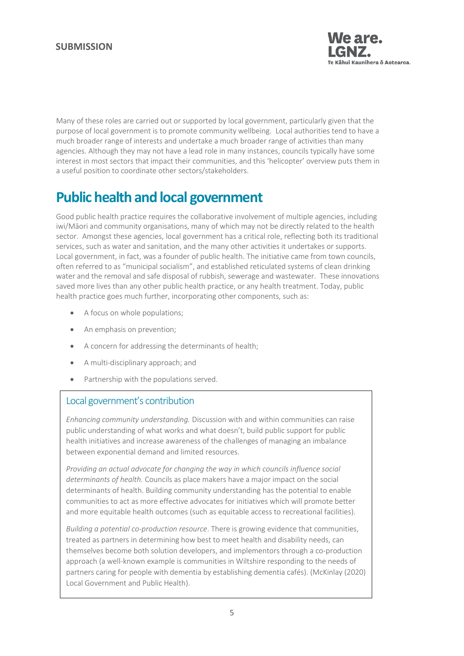

Many of these roles are carried out or supported by local government, particularly given that the purpose of local government is to promote community wellbeing. Local authorities tend to have a much broader range of interests and undertake a much broader range of activities than many agencies. Although they may not have a lead role in many instances, councils typically have some interest in most sectors that impact their communities, and this 'helicopter' overview puts them in a useful position to coordinate other sectors/stakeholders.

# **Public health and local government**

Good public health practice requires the collaborative involvement of multiple agencies, including iwi/Māori and community organisations, many of which may not be directly related to the health sector. Amongst these agencies, local government has a critical role, reflecting both its traditional services, such as water and sanitation, and the many other activities it undertakes or supports. Local government, in fact, was a founder of public health. The initiative came from town councils, often referred to as "municipal socialism", and established reticulated systems of clean drinking water and the removal and safe disposal of rubbish, sewerage and wastewater. These innovations saved more lives than any other public health practice, or any health treatment. Today, public health practice goes much further, incorporating other components, such as:

- A focus on whole populations;
- An emphasis on prevention;
- A concern for addressing the determinants of health;
- A multi-disciplinary approach; and
- Partnership with the populations served.

### Local government's contribution

*Enhancing community understanding.* Discussion with and within communities can raise public understanding of what works and what doesn't, build public support for public health initiatives and increase awareness of the challenges of managing an imbalance between exponential demand and limited resources.

*Providing an actual advocate for changing the way in which councils influence social determinants of health.* Councils as place makers have a major impact on the social determinants of health. Building community understanding has the potential to enable communities to act as more effective advocates for initiatives which will promote better and more equitable health outcomes (such as equitable access to recreational facilities).

*Building a potential co-production resource*. There is growing evidence that communities, treated as partners in determining how best to meet health and disability needs, can themselves become both solution developers, and implementors through a co-production approach (a well-known example is communities in Wiltshire responding to the needs of partners caring for people with dementia by establishing dementia cafés). (McKinlay (2020) Local Government and Public Health).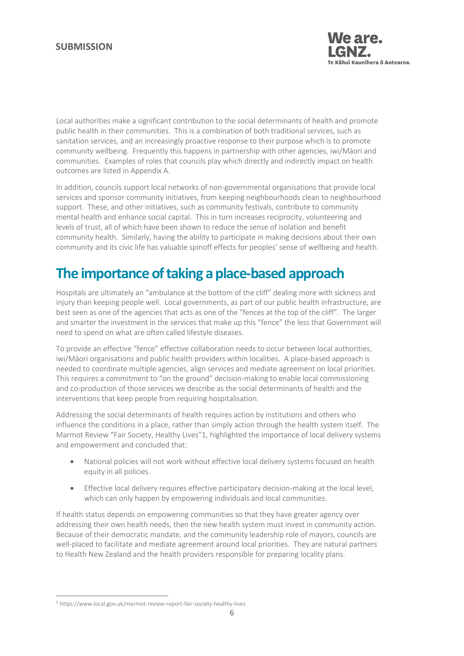### **SUBMISSION**



Local authorities make a significant contribution to the social determinants of health and promote public health in their communities. This is a combination of both traditional services, such as sanitation services, and an increasingly proactive response to their purpose which is to promote community wellbeing. Frequently this happens in partnership with other agencies, iwi/Māori and communities. Examples of roles that councils play which directly and indirectly impact on health outcomes are listed in Appendix A.

In addition, councils support local networks of non-governmental organisations that provide local services and sponsor community initiatives, from keeping neighbourhoods clean to neighbourhood support. These, and other initiatives, such as community festivals, contribute to community mental health and enhance social capital. This in turn increases reciprocity, volunteering and levels of trust, all of which have been shown to reduce the sense of isolation and benefit community health. Similarly, having the ability to participate in making decisions about their own community and its civic life has valuable spinoff effects for peoples' sense of wellbeing and health.

# **The importance of taking a place-based approach**

Hospitals are ultimately an "ambulance at the bottom of the cliff" dealing more with sickness and injury than keeping people well. Local governments, as part of our public health infrastructure, are best seen as one of the agencies that acts as one of the "fences at the top of the cliff". The larger and smarter the investment in the services that make up this "fence" the less that Government will need to spend on what are often called lifestyle diseases.

To provide an effective "fence" effective collaboration needs to occur between local authorities, iwi/Māori organisations and public health providers within localities. A place-based approach is needed to coordinate multiple agencies, align services and mediate agreement on local priorities. This requires a commitment to "on the ground" decision-making to enable local commissioning and co-production of those services we describe as the social determinants of health and the interventions that keep people from requiring hospitalisation.

Addressing the social determinants of health requires action by institutions and others who influence the conditions in a place, rather than simply action through the health system itself. The Marmot Review "Fair Society, Healthy Lives"1, highlighted the importance of local delivery systems and empowerment and concluded that:

- National policies will not work without effective local delivery systems focused on health equity in all policies.
- Effective local delivery requires effective participatory decision-making at the local level, which can only happen by empowering individuals and local communities.

If health status depends on empowering communities so that they have greater agency over addressing their own health needs, then the new health system must invest in community action. Because of their democratic mandate, and the community leadership role of mayors, councils are well-placed to facilitate and mediate agreement around local priorities. They are natural partners to Health New Zealand and the health providers responsible for preparing locality plans.

<sup>1</sup> <sup>1</sup> https://www.local.gov.uk/marmot-review-report-fair-society-healthy-lives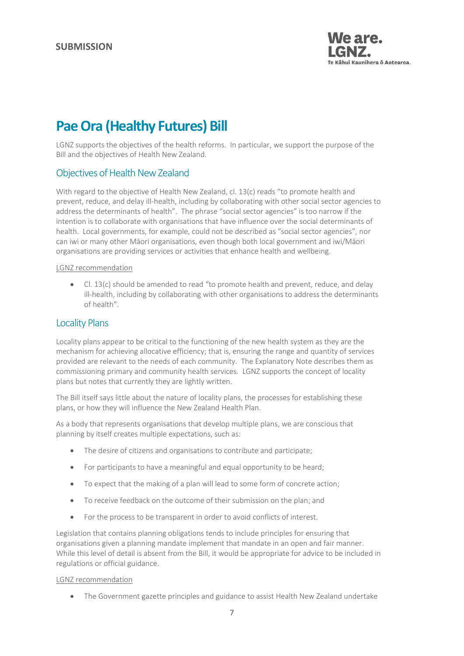

# **Pae Ora (Healthy Futures) Bill**

LGNZ supports the objectives of the health reforms. In particular, we support the purpose of the Bill and the objectives of Health New Zealand.

### Objectives of Health New Zealand

With regard to the objective of Health New Zealand, cl. 13(c) reads "to promote health and prevent, reduce, and delay ill-health, including by collaborating with other social sector agencies to address the determinants of health". The phrase "social sector agencies" is too narrow if the intention is to collaborate with organisations that have influence over the social determinants of health. Local governments, for example, could not be described as "social sector agencies", nor can iwi or many other Māori organisations, even though both local government and iwi/Māori organisations are providing services or activities that enhance health and wellbeing.

#### LGNZ recommendation

 Cl. 13(c) should be amended to read "to promote health and prevent, reduce, and delay ill-health, including by collaborating with other organisations to address the determinants of health".

### Locality Plans

Locality plans appear to be critical to the functioning of the new health system as they are the mechanism for achieving allocative efficiency; that is, ensuring the range and quantity of services provided are relevant to the needs of each community. The Explanatory Note describes them as commissioning primary and community health services. LGNZ supports the concept of locality plans but notes that currently they are lightly written.

The Bill itself says little about the nature of locality plans, the processes for establishing these plans, or how they will influence the New Zealand Health Plan.

As a body that represents organisations that develop multiple plans, we are conscious that planning by itself creates multiple expectations, such as:

- The desire of citizens and organisations to contribute and participate;
- For participants to have a meaningful and equal opportunity to be heard;
- To expect that the making of a plan will lead to some form of concrete action;
- To receive feedback on the outcome of their submission on the plan; and
- For the process to be transparent in order to avoid conflicts of interest.

Legislation that contains planning obligations tends to include principles for ensuring that organisations given a planning mandate implement that mandate in an open and fair manner. While this level of detail is absent from the Bill, it would be appropriate for advice to be included in regulations or official guidance.

#### LGNZ recommendation

• The Government gazette principles and guidance to assist Health New Zealand undertake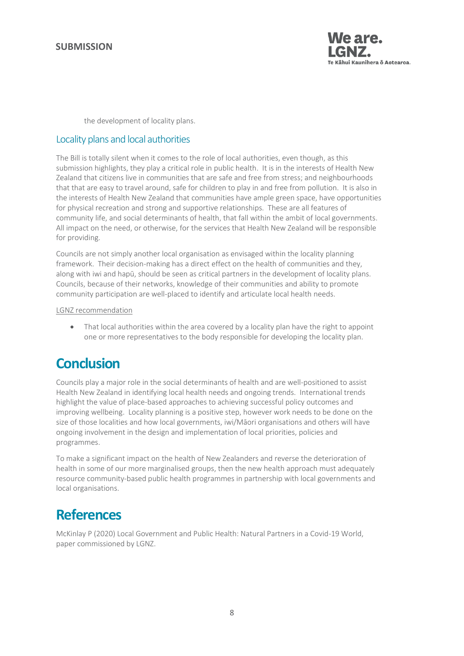

the development of locality plans.

### Locality plans and local authorities

The Bill is totally silent when it comes to the role of local authorities, even though, as this submission highlights, they play a critical role in public health. It is in the interests of Health New Zealand that citizens live in communities that are safe and free from stress; and neighbourhoods that that are easy to travel around, safe for children to play in and free from pollution. It is also in the interests of Health New Zealand that communities have ample green space, have opportunities for physical recreation and strong and supportive relationships. These are all features of community life, and social determinants of health, that fall within the ambit of local governments. All impact on the need, or otherwise, for the services that Health New Zealand will be responsible for providing.

Councils are not simply another local organisation as envisaged within the locality planning framework. Their decision-making has a direct effect on the health of communities and they, along with iwi and hapū, should be seen as critical partners in the development of locality plans. Councils, because of their networks, knowledge of their communities and ability to promote community participation are well-placed to identify and articulate local health needs.

#### LGNZ recommendation

• That local authorities within the area covered by a locality plan have the right to appoint one or more representatives to the body responsible for developing the locality plan.

# **Conclusion**

Councils play a major role in the social determinants of health and are well-positioned to assist Health New Zealand in identifying local health needs and ongoing trends. International trends highlight the value of place-based approaches to achieving successful policy outcomes and improving wellbeing. Locality planning is a positive step, however work needs to be done on the size of those localities and how local governments, iwi/Māori organisations and others will have ongoing involvement in the design and implementation of local priorities, policies and programmes.

To make a significant impact on the health of New Zealanders and reverse the deterioration of health in some of our more marginalised groups, then the new health approach must adequately resource community-based public health programmes in partnership with local governments and local organisations.

# **References**

McKinlay P (2020) Local Government and Public Health: Natural Partners in a Covid-19 World, paper commissioned by LGNZ.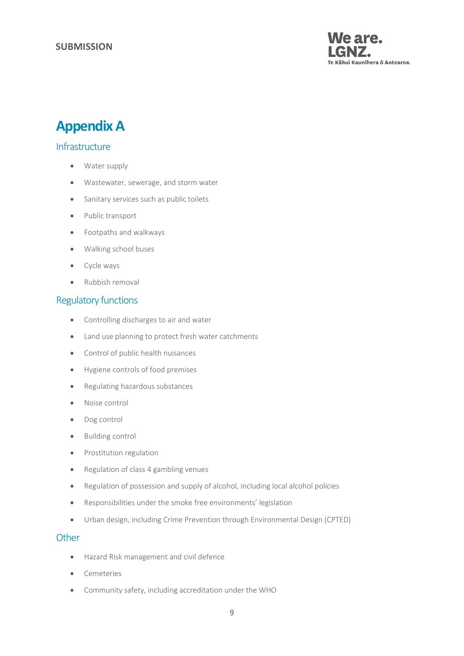

# **AppendixA**

### **Infrastructure**

- Water supply
- Wastewater, sewerage, and storm water
- Sanitary services such as public toilets
- Public transport
- Footpaths and walkways
- Walking school buses
- Cycle ways
- Rubbish removal

### Regulatory functions

- Controlling discharges to air and water
- Land use planning to protect fresh water catchments
- Control of public health nuisances
- Hygiene controls of food premises
- Regulating hazardous substances
- Noise control
- Dog control
- Building control
- Prostitution regulation
- Regulation of class 4 gambling venues
- Regulation of possession and supply of alcohol, including local alcohol policies
- Responsibilities under the smoke free environments' legislation
- Urban design, including Crime Prevention through Environmental Design (CPTED)

### **Other**

- Hazard Risk management and civil defence
- **•** Cemeteries
- Community safety, including accreditation under the WHO